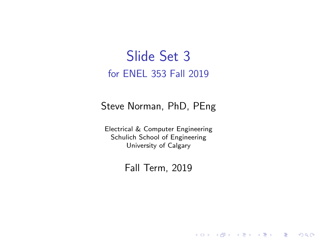#### Slide Set 3 for ENEL 353 Fall 2019

#### Steve Norman, PhD, PEng

Electrical & Computer Engineering Schulich School of Engineering University of Calgary

Fall Term, 2019

メロメ メ御メ メ君メ メ君メー

一番

 $2Q$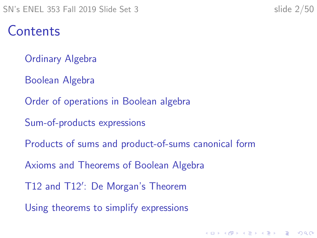#### Contents

- [Ordinary Algebra](#page-2-0)
- [Boolean Algebra](#page-4-0)
- [Order of operations in Boolean algebra](#page-12-0)
- [Sum-of-products expressions](#page-18-0)
- [Products of sums and product-of-sums canonical form](#page-25-0)
- [Axioms and Theorems of Boolean Algebra](#page-31-0)
- T12 and T12'[: De Morgan's Theorem](#page-41-0)
- [Using theorems to simplify expressions](#page-46-0)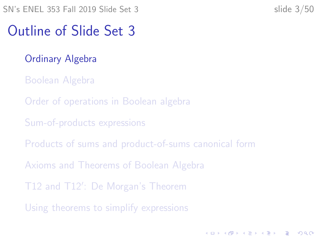#### <span id="page-2-0"></span>Outline of Slide Set 3

- [Ordinary Algebra](#page-2-0)
- [Boolean Algebra](#page-4-0)
- [Order of operations in Boolean algebra](#page-12-0)
- [Sum-of-products expressions](#page-18-0)
- [Products of sums and product-of-sums canonical form](#page-25-0)
- [Axioms and Theorems of Boolean Algebra](#page-31-0)
- T12 and T12'[: De Morgan's Theorem](#page-41-0)
- [Using theorems to simplify expressions](#page-46-0)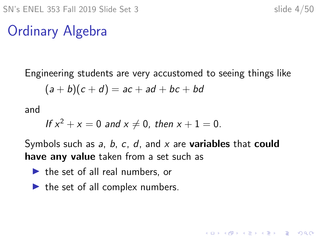K ロ ▶ K 個 ▶ K 할 ▶ K 할 ▶ 이 할 → 이익 @

# Ordinary Algebra

Engineering students are very accustomed to seeing things like

$$
(a+b)(c+d) = ac + ad + bc + bd
$$

and

If 
$$
x^2 + x = 0
$$
 and  $x \neq 0$ , then  $x + 1 = 0$ .

Symbols such as  $a, b, c, d$ , and  $x$  are **variables** that **could** have any value taken from a set such as

- $\blacktriangleright$  the set of all real numbers, or
- $\blacktriangleright$  the set of all complex numbers.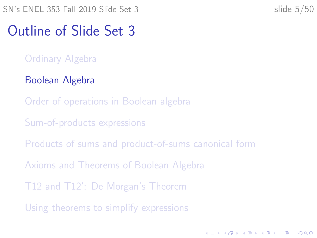<span id="page-4-0"></span>SN's ENEL 353 Fall 2019 Slide Set 3 slide 5/50

**KORKARYKERKER POLO** 

#### Outline of Slide Set 3

- [Ordinary Algebra](#page-2-0)
- [Boolean Algebra](#page-4-0)
- [Order of operations in Boolean algebra](#page-12-0)
- [Sum-of-products expressions](#page-18-0)
- [Products of sums and product-of-sums canonical form](#page-25-0)
- [Axioms and Theorems of Boolean Algebra](#page-31-0)
- T12 and T12'[: De Morgan's Theorem](#page-41-0)
- [Using theorems to simplify expressions](#page-46-0)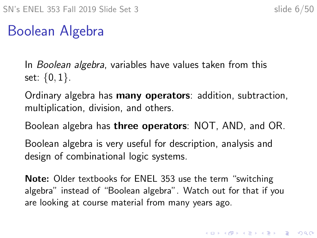## Boolean Algebra

In Boolean algebra, variables have values taken from this set:  $\{0, 1\}$ .

Ordinary algebra has many operators: addition, subtraction, multiplication, division, and others.

Boolean algebra has **three operators**: NOT, AND, and OR.

Boolean algebra is very useful for description, analysis and design of combinational logic systems.

Note: Older textbooks for ENEL 353 use the term "switching algebra" instead of "Boolean algebra". Watch out for that if you are looking at course material from many years ago.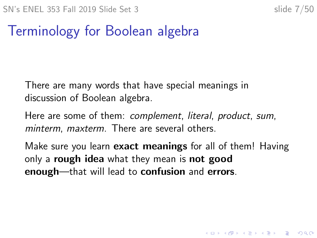#### Terminology for Boolean algebra

There are many words that have special meanings in discussion of Boolean algebra.

Here are some of them: complement, literal, product, sum, minterm, maxterm. There are several others.

Make sure you learn **exact meanings** for all of them! Having only a **rough idea** what they mean is **not good** enough—that will lead to confusion and errors.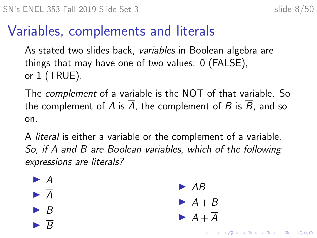#### Variables, complements and literals

As stated two slides back, variables in Boolean algebra are things that may have one of two values: 0 (FALSE), or 1 (TRUE).

The complement of a variable is the NOT of that variable. So the complement of A is  $\overline{A}$ , the complement of B is  $\overline{B}$ , and so on.

A literal is either a variable or the complement of a variable. So, if A and B are Boolean variables, which of the following expressions are literals?

> $\triangleright$  AB  $\blacktriangleright$  A + B  $\blacktriangleright$  A +  $\overline{A}$

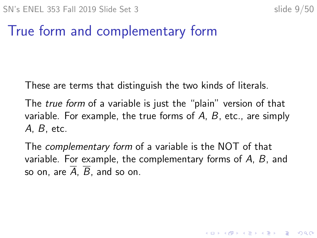#### True form and complementary form

These are terms that distinguish the two kinds of literals.

The *true form* of a variable is just the "plain" version of that variable. For example, the true forms of  $A$ ,  $B$ , etc., are simply A, B, etc.

The complementary form of a variable is the NOT of that variable. For example, the complementary forms of A, B, and so on, are  $\overline{A}$ ,  $\overline{B}$ , and so on.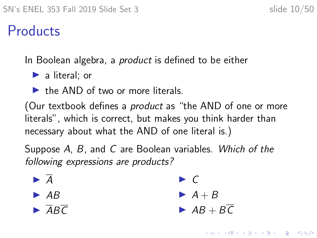#### **Products**

In Boolean algebra, a *product* is defined to be either

 $\blacktriangleright$  a literal; or

 $\blacktriangleright$  the AND of two or more literals.

(Our textbook defines a *product* as "the AND of one or more literals", which is correct, but makes you think harder than necessary about what the AND of one literal is.)

Suppose A, B, and C are Boolean variables. Which of the following expressions are products?

$$
\blacktriangleright \overline{A}
$$

- $\triangleright$  AB
- $\blacktriangleright$   $\overline{A}B\overline{C}$

 $\blacktriangleright$  C

- $\blacktriangleright$  A + B
- $\blacktriangleright$  AB + BC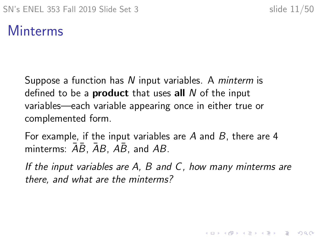#### Minterms

Suppose a function has N input variables. A *minterm* is defined to be a **product** that uses all  $N$  of the input variables—each variable appearing once in either true or complemented form.

For example, if the input variables are A and B, there are 4 minterms:  $AB$ ,  $AB$ ,  $AB$ , and  $AB$ .

If the input variables are A, B and C, how many minterms are there, and what are the minterms?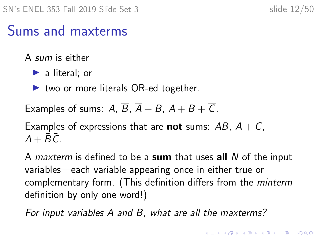#### Sums and maxterms

A sum is either

 $\blacktriangleright$  a literal; or

 $\triangleright$  two or more literals OR-ed together.

Examples of sums: A,  $\overline{B}$ ,  $\overline{A}$  + B,  $A$  + B +  $\overline{C}$ .

Examples of expressions that are **not** sums:  $AB$ ,  $A + C$ ,  $A + \overline{B}\overline{C}$ 

A *maxterm* is defined to be a sum that uses all  $N$  of the input variables—each variable appearing once in either true or complementary form. (This definition differs from the minterm definition by only one word!)

For input variables A and B, what are all the maxterms?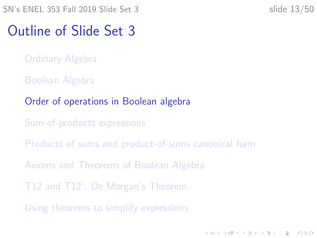#### <span id="page-12-0"></span>Outline of Slide Set 3

- [Ordinary Algebra](#page-2-0)
- [Boolean Algebra](#page-4-0)

#### [Order of operations in Boolean algebra](#page-12-0)

- [Sum-of-products expressions](#page-18-0)
- [Products of sums and product-of-sums canonical form](#page-25-0)
- [Axioms and Theorems of Boolean Algebra](#page-31-0)
- T12 and T12'[: De Morgan's Theorem](#page-41-0)
- [Using theorems to simplify expressions](#page-46-0)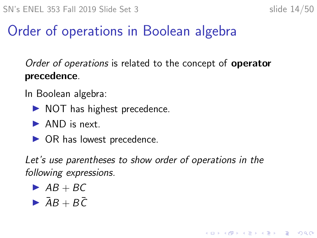KELK KØLK VELKEN EL 1990

## Order of operations in Boolean algebra

Order of operations is related to the concept of **operator** precedence.

In Boolean algebra:

- $\triangleright$  NOT has highest precedence.
- $\blacktriangleright$  AND is next.
- $\triangleright$  OR has lowest precedence.

Let's use parentheses to show order of operations in the following expressions.

- $\triangleright$  AB + BC
- $\triangleright$   $\bar{A}B + B\bar{C}$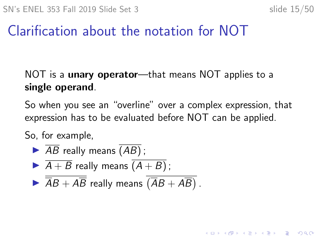**KORK ERKER ADAM ADA** 

#### Clarification about the notation for NOT

#### NOT is a **unary operator**—that means NOT applies to a single operand.

So when you see an "overline" over a complex expression, that expression has to be evaluated before NOT can be applied.

So, for example,

$$
\blacktriangleright \overline{AB} \text{ really means } \overline{(AB)} \, ;
$$

$$
\blacktriangleright \overline{A+B} \text{ really means } \overline{(A+B)} \, ;
$$

$$
\blacktriangleright \overline{\overline{AB} + A\overline{B}}
$$
 really means 
$$
\overline{\overline{(AB + AB)}}.
$$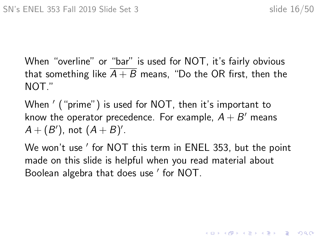When "overline" or "bar" is used for NOT, it's fairly obvious that something like  $A + B$  means, "Do the OR first, then the NOT."

When  $^{\prime}$  ("prime") is used for NOT, then it's important to know the operator precedence. For example,  $A + B'$  means  $A + (B')$ , not  $(A + B)'$ .

We won't use ' for NOT this term in ENEL 353, but the point made on this slide is helpful when you read material about Boolean algebra that does use ' for NOT.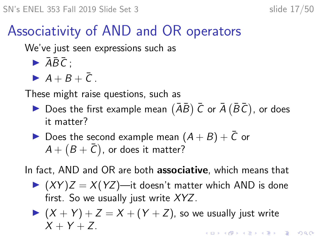## Associativity of AND and OR operators

We've just seen expressions such as

- $\blacktriangleright$   $\overline{AB}\overline{C}$  ;
- $\blacktriangleright$  A + B +  $\bar{C}$  .

These might raise questions, such as

- Does the first example mean  $(\overline{A}\overline{B})\overline{C}$  or  $\overline{A}(\overline{B}\overline{C})$ , or does it matter?
- Does the second example mean  $(A + B) + \bar{C}$  or  $\mathcal{A}+\bigl(\mathcal{B}+\bar{\mathcal{C}}\bigr)$ , or does it matter?

In fact, AND and OR are both **associative**, which means that

 $(XY)Z = X(YZ)$ —it doesn't matter which AND is done first. So we usually just write  $XYZ$ .

$$
(X + Y) + Z = X + (Y + Z),
$$
 so we usually just write  
 
$$
X + Y + Z.
$$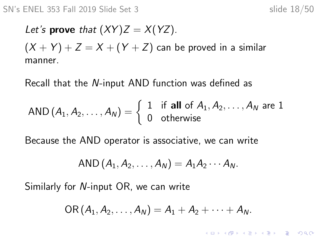KELK KØLK VELKEN EL 1990

Let's prove that  $(XY)Z = X(YZ)$ .  $(X + Y) + Z = X + (Y + Z)$  can be proved in a similar manner.

Recall that the N-input AND function was defined as

AND 
$$
(A_1, A_2, ..., A_N)
$$
 =  $\begin{cases} 1 & \text{if all of } A_1, A_2, ..., A_N \text{ are } 1 \\ 0 & \text{otherwise} \end{cases}$ 

Because the AND operator is associative, we can write

AND 
$$
(A_1, A_2, \ldots, A_N) = A_1 A_2 \cdots A_N
$$
.

Similarly for N-input OR, we can write

$$
OR (A1, A2,..., AN) = A1 + A2 + ··· + AN.
$$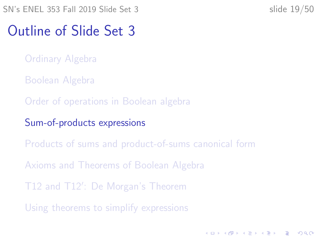#### <span id="page-18-0"></span>Outline of Slide Set 3

- [Ordinary Algebra](#page-2-0)
- [Boolean Algebra](#page-4-0)
- [Order of operations in Boolean algebra](#page-12-0)
- [Sum-of-products expressions](#page-18-0)
- [Products of sums and product-of-sums canonical form](#page-25-0)
- [Axioms and Theorems of Boolean Algebra](#page-31-0)
- T12 and T12'[: De Morgan's Theorem](#page-41-0)
- [Using theorems to simplify expressions](#page-46-0)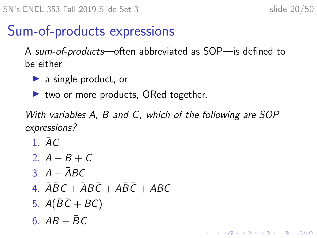#### Sum-of-products expressions

A sum-of-products—often abbreviated as SOP—is defined to be either

- $\blacktriangleright$  a single product, or
- $\blacktriangleright$  two or more products, ORed together.

With variables A, B and C, which of the following are SOP expressions?

1.  $\bar{A}C$ 

- 2.  $A + B + C$
- $3. A + \bar{A}BC$
- 4.  $\overline{A}\overline{B}C + \overline{A}B\overline{C} + A\overline{B}\overline{C} + ABC$
- 5.  $A(BC + BC)$

6.  $AB + \overline{BC}$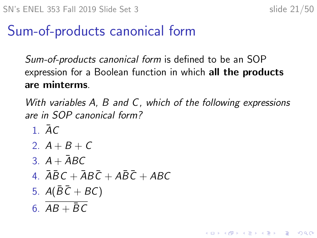#### Sum-of-products canonical form

Sum-of-products canonical form is defined to be an SOP expression for a Boolean function in which all the products are minterms.

With variables A, B and C, which of the following expressions are in SOP canonical form?

1  $\bar{A}C$ 2.  $A + B + C$ 3.  $A + \overline{A}BC$ 4.  $\overline{ABC} + \overline{AB}\overline{C} + \overline{AB}\overline{C} + \overline{ABC}$ 5.  $A(\overline{B}\overline{C} + BC)$ 6.  $AB + \overline{BC}$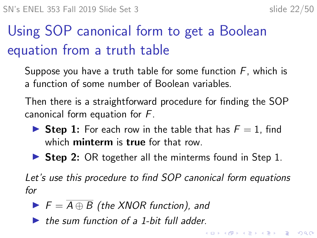**KORKAR KERKER E VOOR** 

# Using SOP canonical form to get a Boolean equation from a truth table

- <span id="page-21-0"></span>Suppose you have a truth table for some function  $F$ , which is a function of some number of Boolean variables.
- Then there is a straightforward procedure for finding the SOP canonical form equation for F.
	- **If Step 1:** For each row in the table that has  $F = 1$ , find which **minterm** is **true** for that row.
	- $\triangleright$  Step 2: OR together all the minterms found in Step 1.

Let's use this procedure to find SOP canonical form equations for

- $\blacktriangleright$   $F = \overline{A \oplus B}$  (the XNOR function), and
- $\blacktriangleright$  the sum function of a 1-bit full adder.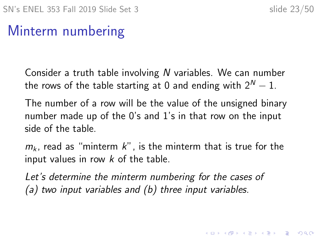## Minterm numbering

Consider a truth table involving N variables. We can number the rows of the table starting at 0 and ending with  $2^N - 1$ .

The number of a row will be the value of the unsigned binary number made up of the 0's and 1's in that row on the input side of the table.

 $m_k$ , read as "minterm k", is the minterm that is true for the input values in row  $k$  of the table.

Let's determine the minterm numbering for the cases of (a) two input variables and (b) three input variables.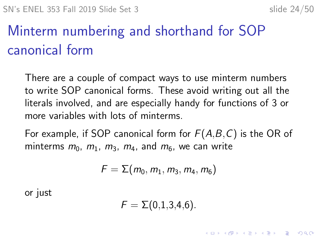# Minterm numbering and shorthand for SOP canonical form

There are a couple of compact ways to use minterm numbers to write SOP canonical forms. These avoid writing out all the literals involved, and are especially handy for functions of 3 or more variables with lots of minterms.

For example, if SOP canonical form for  $F(A,B,C)$  is the OR of minterms  $m_0$ ,  $m_1$ ,  $m_3$ ,  $m_4$ , and  $m_6$ , we can write

$$
F=\Sigma(m_0,m_1,m_3,m_4,m_6)
$$

or just

$$
\digamma = \Sigma(0,1,3,4,6).
$$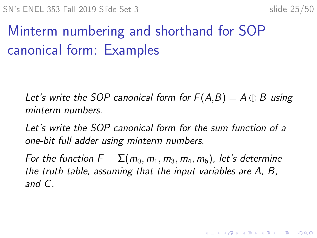**KORKAR KERKER SAGA** 

# Minterm numbering and shorthand for SOP canonical form: Examples

Let's write the SOP canonical form for  $F(A,B) = A \oplus B$  using minterm numbers.

Let's write the SOP canonical form for the sum function of a one-bit full adder using minterm numbers.

For the function  $F = \sum (m_0, m_1, m_3, m_4, m_6)$ , let's determine the truth table, assuming that the input variables are A, B, and C.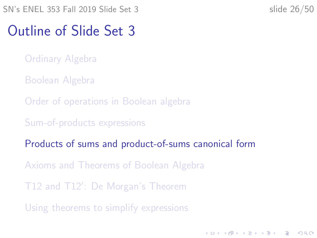#### <span id="page-25-0"></span>Outline of Slide Set 3

- [Ordinary Algebra](#page-2-0)
- [Boolean Algebra](#page-4-0)
- [Order of operations in Boolean algebra](#page-12-0)
- [Sum-of-products expressions](#page-18-0)
- [Products of sums and product-of-sums canonical form](#page-25-0)
- [Axioms and Theorems of Boolean Algebra](#page-31-0)
- T12 and T12'[: De Morgan's Theorem](#page-41-0)
- [Using theorems to simplify expressions](#page-46-0)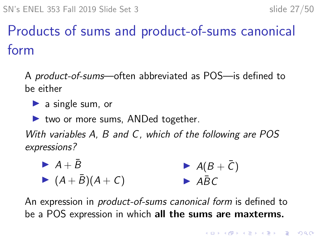# Products of sums and product-of-sums canonical form

A product-of-sums—often abbreviated as POS—is defined to be either

 $\blacktriangleright$  a single sum, or

 $\blacktriangleright$  two or more sums, ANDed together.

With variables A, B and C, which of the following are POS expressions?

► 
$$
A + \bar{B}
$$
  
\n►  $(A + \bar{B})(A + C)$   
\n►  $A\bar{B}C$   
\n►  $A\bar{B}C$ 

An expression in product-of-sums canonical form is defined to be a POS expression in which all the sums are maxterms.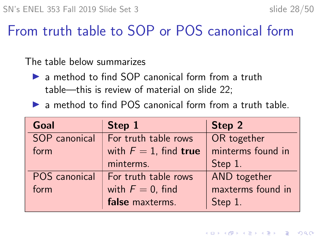#### From truth table to SOP or POS canonical form

The table below summarizes

- $\triangleright$  a method to find SOP canonical form from a truth table—this is review of material on slide [22;](#page-21-0)
- $\triangleright$  a method to find POS canonical form from a truth table.

| Goal          | Step 1                   | Step 2            |
|---------------|--------------------------|-------------------|
| SOP canonical | For truth table rows     | OR together       |
| form          | with $F = 1$ , find true | minterms found in |
|               | minterms.                | Step 1.           |
| POS canonical | For truth table rows     | AND together      |
| form          | with $F = 0$ , find      | maxterms found in |
|               | false maxterms.          | Step 1.           |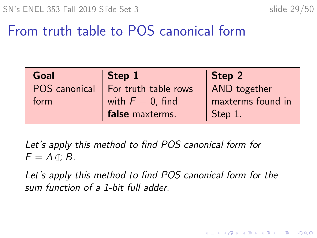K ロ ▶ K 個 ▶ K 할 ▶ K 할 ▶ 이 할 → 이익 @

## From truth table to POS canonical form

| <b>Goal</b>   | Step 1               | Step 2            |
|---------------|----------------------|-------------------|
| POS canonical | For truth table rows | AND together      |
| form          | with $F = 0$ , find  | maxterms found in |
|               | false maxterms.      | Step 1.           |

Let's apply this method to find POS canonical form for  $F = \overline{A \oplus B}.$ 

Let's apply this method to find POS canonical form for the sum function of a 1-bit full adder.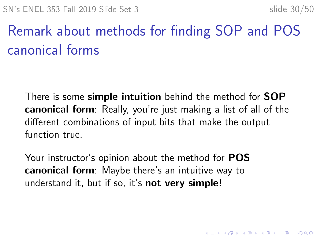# Remark about methods for finding SOP and POS canonical forms

There is some **simple intuition** behind the method for **SOP** canonical form: Really, you're just making a list of all of the different combinations of input bits that make the output function true.

Your instructor's opinion about the method for POS canonical form: Maybe there's an intuitive way to understand it, but if so, it's **not very simple!**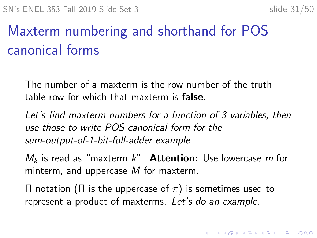# Maxterm numbering and shorthand for POS canonical forms

The number of a maxterm is the row number of the truth table row for which that maxterm is false.

Let's find maxterm numbers for a function of 3 variables, then use those to write POS canonical form for the sum-output-of-1-bit-full-adder example.

 $M_k$  is read as "maxterm k". Attention: Use lowercase m for minterm, and uppercase M for maxterm.

 $\Pi$  notation ( $\Pi$  is the uppercase of  $\pi$ ) is sometimes used to represent a product of maxterms. Let's do an example.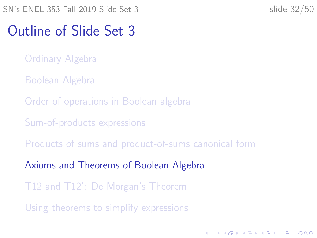#### <span id="page-31-0"></span>Outline of Slide Set 3

- [Ordinary Algebra](#page-2-0)
- [Boolean Algebra](#page-4-0)
- [Order of operations in Boolean algebra](#page-12-0)
- [Sum-of-products expressions](#page-18-0)
- [Products of sums and product-of-sums canonical form](#page-25-0)
- [Axioms and Theorems of Boolean Algebra](#page-31-0)
- T12 and T12'[: De Morgan's Theorem](#page-41-0)
- [Using theorems to simplify expressions](#page-46-0)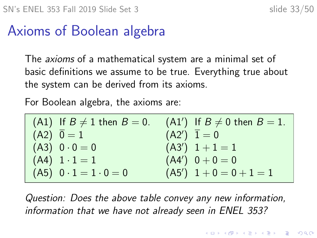#### Axioms of Boolean algebra

The *axioms* of a mathematical system are a minimal set of basic definitions we assume to be true. Everything true about the system can be derived from its axioms.

For Boolean algebra, the axioms are:

| $(A1)$ If $B \neq 1$ then $B = 0$ . | $(A1')$ If $B \neq 0$ then $B = 1$ . |
|-------------------------------------|--------------------------------------|
| $(A2)$ $\overline{0} = 1$           | $(A2')$ $\overline{1} = 0$           |
| $(A3) 0 \cdot 0 = 0$                | $(A3')$ $1+1=1$                      |
| $(A4) 1 \cdot 1 = 1$                | $(A4') 0 + 0 = 0$                    |
| $(A5)$ $0 \cdot 1 = 1 \cdot 0 = 0$  | $(A5')$ 1 + 0 = 0 + 1 = 1            |

Question: Does the above table convey any new information, information that we have not already seen in ENEL 353?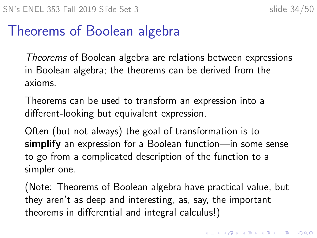#### Theorems of Boolean algebra

Theorems of Boolean algebra are relations between expressions in Boolean algebra; the theorems can be derived from the axioms.

Theorems can be used to transform an expression into a different-looking but equivalent expression.

Often (but not always) the goal of transformation is to simplify an expression for a Boolean function—in some sense to go from a complicated description of the function to a simpler one.

(Note: Theorems of Boolean algebra have practical value, but they aren't as deep and interesting, as, say, the important theorems in differential and integral calculus!)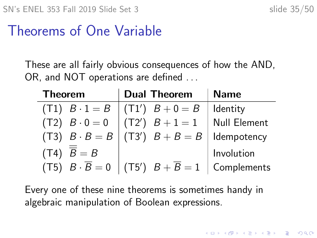#### Theorems of One Variable

These are all fairly obvious consequences of how the AND, OR, and NOT operations are defined ...

| <b>Theorem</b>            | <b>Dual Theorem</b>                                                      | <b>Name</b>         |
|---------------------------|--------------------------------------------------------------------------|---------------------|
|                           | $(T1)$ $B \cdot 1 = B$ $(T1')$ $B + 0 = B$                               | Identity            |
| $(T2)$ $B \cdot 0 = 0$    | $(T2')$ $B + 1 = 1$                                                      | <b>Null Element</b> |
|                           | (T3) $B \cdot B = B$ (T3') $B + B = B$ dempotency                        |                     |
| $(T4)$ $\overline{B} = B$ |                                                                          | Involution          |
|                           | (T5) $B \cdot \overline{B} = 0$ (T5') $B + \overline{B} = 1$ Complements |                     |

Every one of these nine theorems is sometimes handy in algebraic manipulation of Boolean expressions.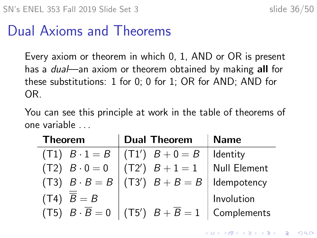#### Dual Axioms and Theorems

Every axiom or theorem in which 0, 1, AND or OR is present has a *dual*—an axiom or theorem obtained by making **all** for these substitutions: 1 for 0; 0 for 1; OR for AND; AND for OR.

You can see this principle at work in the table of theorems of one variable . . .

| <b>Theorem</b>            | <b>Dual Theorem</b>                                                          | <b>Name</b>  |
|---------------------------|------------------------------------------------------------------------------|--------------|
| $(T1)$ $B \cdot 1 = B$    | $\begin{pmatrix} T1' & B+0=B \end{pmatrix}$                                  | Identity     |
| $(T2)$ $B \cdot 0 = 0$    | $(T2')$ $B + 1 = 1$                                                          | Null Element |
| $(T3)$ $B \cdot B = B$    | $\begin{pmatrix} T3' & B+B=B \end{pmatrix}$                                  | ldempotency  |
| $(T4)$ $\overline{B} = B$ |                                                                              | Involution   |
|                           | $(T5)$ $B \cdot \overline{B} = 0$ $(T5')$ $B + \overline{B} = 1$ Complements |              |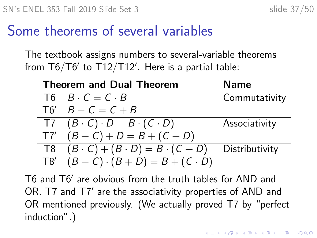#### Some theorems of several variables

The textbook assigns numbers to several-variable theorems from T6/T6 $^{\prime}$  to T12/T12 $^{\prime}$ . Here is a partial table:

| <b>Theorem and Dual Theorem</b> |                                                                  | <b>Name</b>    |
|---------------------------------|------------------------------------------------------------------|----------------|
|                                 | $T6$ $B \cdot C = C \cdot B$                                     | Commutativity  |
|                                 | $T6'$ $B + C = C + B$                                            |                |
|                                 | $T7 (B \cdot C) \cdot D = B \cdot (C \cdot D)$                   | Associativity  |
|                                 | $T7'$ $(B+C)+D=B+(C+D)$                                          |                |
|                                 | $\overline{B \cdot (B \cdot C) + (B \cdot D)} = B \cdot (C + D)$ | Distributivity |
|                                 | T8' $(B+C)\cdot(B+D)=B+(C\cdot D)$                               |                |

T6 and T6' are obvious from the truth tables for AND and OR. T7 and T7' are the associativity properties of AND and OR mentioned previously. (We actually proved T7 by "perfect induction".)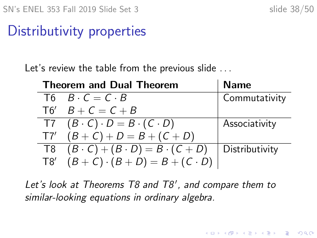#### Distributivity properties

Let's review the table from the previous slide ...

| <b>Theorem and Dual Theorem</b> |                                                                  | <b>Name</b>    |
|---------------------------------|------------------------------------------------------------------|----------------|
|                                 | $T6$ $B \cdot C = C \cdot B$                                     | Commutativity  |
|                                 | $T6'$ $B + C = C + B$                                            |                |
|                                 | $T7 (B \cdot C) \cdot D = B \cdot (C \cdot D)$                   | Associativity  |
|                                 | $T7'$ $(B+C)+D=B+(C+D)$                                          |                |
|                                 | $\overline{B \cdot (B \cdot C) + (B \cdot D)} = B \cdot (C + D)$ | Distributivity |
|                                 | T8' $(B+C)\cdot(B+D)=B+(C\cdot D)$                               |                |

Let's look at Theorems T8 and T8', and compare them to similar-looking equations in ordinary algebra.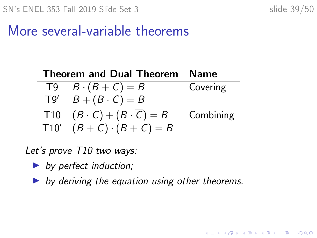K ロ ▶ K 個 ▶ K 할 ▶ K 할 ▶ 이 할 → 9 Q Q →

#### More several-variable theorems

|      | Theorem and Dual Theorem   Name                |           |
|------|------------------------------------------------|-----------|
|      | $T9 \quad B \cdot (B+C) = B$                   | Covering  |
| T9'  | $B+(B\cdot C)=B$                               |           |
|      | T10 $(B \cdot C) + (B \cdot \overline{C}) = B$ | Combining |
| T10' | $(B+C)\cdot(B+\overline{C})=B$                 |           |

Let's prove T10 two ways:

- $\triangleright$  by perfect induction;
- by deriving the equation using other theorems.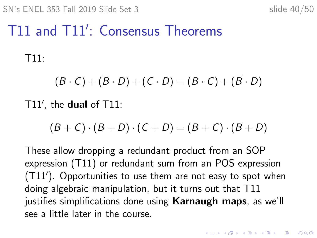# T11 and T11': Consensus Theorems

T11:

$$
(B \cdot C) + (\overline{B} \cdot D) + (C \cdot D) = (B \cdot C) + (\overline{B} \cdot D)
$$

 $T11'$ , the dual of  $T11$ :

$$
(B+C)\cdot(\overline{B}+D)\cdot(C+D)=(B+C)\cdot(\overline{B}+D)
$$

These allow dropping a redundant product from an SOP expression (T11) or redundant sum from an POS expression (T11'). Opportunities to use them are not easy to spot when doing algebraic manipulation, but it turns out that T11 justifies simplifications done using **Karnaugh maps**, as we'll see a little later in the course.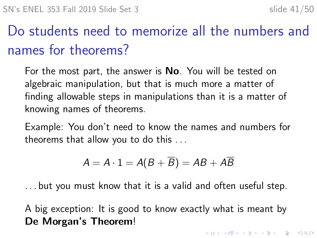# Do students need to memorize all the numbers and names for theorems?

For the most part, the answer is **No**. You will be tested on algebraic manipulation, but that is much more a matter of finding allowable steps in manipulations than it is a matter of knowing names of theorems.

Example: You don't need to know the names and numbers for theorems that allow you to do this . . .

$$
A=A\cdot 1=A(B+\overline{B})=AB+A\overline{B}
$$

. . . but you must know that it is a valid and often useful step.

A big exception: It is good to know exactly what is meant by De Morgan's Theorem!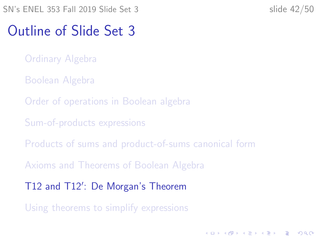#### <span id="page-41-0"></span>Outline of Slide Set 3

- [Ordinary Algebra](#page-2-0)
- [Boolean Algebra](#page-4-0)
- [Order of operations in Boolean algebra](#page-12-0)
- [Sum-of-products expressions](#page-18-0)
- [Products of sums and product-of-sums canonical form](#page-25-0)
- [Axioms and Theorems of Boolean Algebra](#page-31-0)
- T12 and T12'[: De Morgan's Theorem](#page-41-0)
- [Using theorems to simplify expressions](#page-46-0)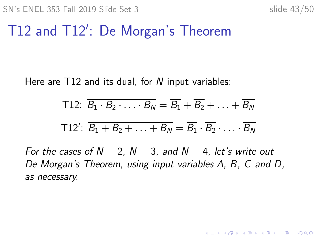# T12 and T12': De Morgan's Theorem

Here are  $T12$  and its dual, for N input variables:

T12: 
$$
\overline{B_1 \cdot B_2 \cdot \ldots \cdot B_N} = \overline{B_1} + \overline{B_2} + \ldots + \overline{B_N}
$$
  
T12':  $\overline{B_1 + B_2 + \ldots + B_N} = \overline{B_1} \cdot \overline{B_2} \cdot \ldots \cdot \overline{B_N}$ 

For the cases of  $N = 2$ ,  $N = 3$ , and  $N = 4$ , let's write out De Morgan's Theorem, using input variables A, B, C and D, as necessary.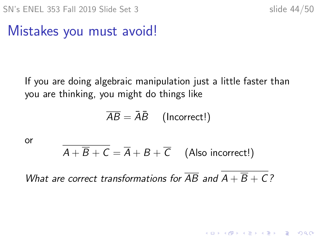K ロ ▶ K 個 ▶ K 할 ▶ K 할 ▶ 이 할 → 9 Q Q →

## Mistakes you must avoid!

If you are doing algebraic manipulation just a little faster than you are thinking, you might do things like

$$
\overline{AB} = \bar{A}\bar{B} \quad \text{(Incorrect!)}
$$

or

$$
\overline{A + \overline{B} + C} = \overline{A} + B + \overline{C}
$$
 (Also incorrect!)

What are correct transformations for  $\overline{AB}$  and  $A + \overline{B} + C$ ?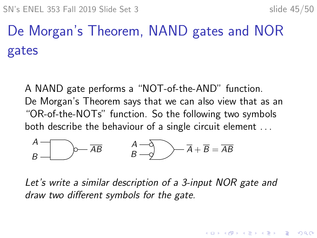# <span id="page-44-0"></span>De Morgan's Theorem, NAND gates and NOR gates

A NAND gate performs a "NOT-of-the-AND" function. De Morgan's Theorem says that we can also view that as an "OR-of-the-NOTs" function. So the following two symbols both describe the behaviour of a single circuit element ...

$$
\overrightarrow{A} = \overrightarrow{AB} \qquad \overrightarrow{A} = \overrightarrow{A} \rightarrow \overrightarrow{A} + \overrightarrow{B} = \overrightarrow{AB}
$$

Let's write a similar description of a 3-input NOR gate and draw two different symbols for the gate.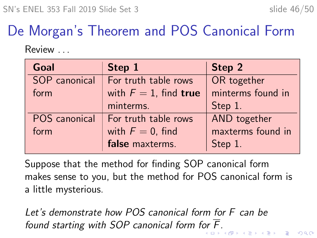# De Morgan's Theorem and POS Canonical Form

Review . . .

| Goal          | Step 1                   | Step 2            |
|---------------|--------------------------|-------------------|
| SOP canonical | For truth table rows     | OR together       |
| form          | with $F = 1$ , find true | minterms found in |
|               | minterms.                | Step 1.           |
| POS canonical | For truth table rows     | AND together      |
| form          | with $F = 0$ , find      | maxterms found in |
|               | false maxterms.          | Step 1.           |

Suppose that the method for finding SOP canonical form makes sense to you, but the method for POS canonical form is a little mysterious.

Let's demonstrate how POS canonical form for F can be found starting with SOP canonical f[or](#page-44-0)m for  $\overline{F}$ .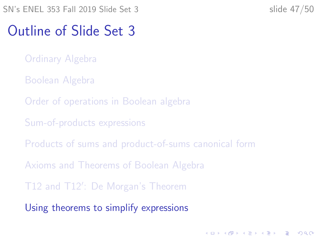#### <span id="page-46-0"></span>Outline of Slide Set 3

- [Ordinary Algebra](#page-2-0)
- [Boolean Algebra](#page-4-0)
- [Order of operations in Boolean algebra](#page-12-0)
- [Sum-of-products expressions](#page-18-0)
- [Products of sums and product-of-sums canonical form](#page-25-0)
- [Axioms and Theorems of Boolean Algebra](#page-31-0)
- T12 and T12'[: De Morgan's Theorem](#page-41-0)
- [Using theorems to simplify expressions](#page-46-0)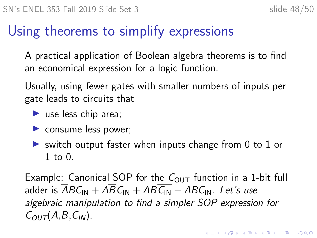## Using theorems to simplify expressions

A practical application of Boolean algebra theorems is to find an economical expression for a logic function.

Usually, using fewer gates with smaller numbers of inputs per gate leads to circuits that

- $\blacktriangleright$  use less chip area;
- $\triangleright$  consume less power;
- $\triangleright$  switch output faster when inputs change from 0 to 1 or 1 to 0.

Example: Canonical SOP for the  $C_{OUT}$  function in a 1-bit full adder is  $\overline{ABC_{IN}} + \overline{ABC_{IN}} + \overline{ABC_{IN}} + \overline{ABC_{IN}}$ . Let's use algebraic manipulation to find a simpler SOP expression for  $C_{OUT}(A,B,C_{IN})$ .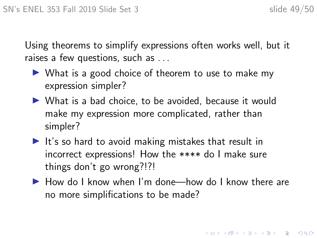Using theorems to simplify expressions often works well, but it raises a few questions, such as . . .

- $\triangleright$  What is a good choice of theorem to use to make my expression simpler?
- $\triangleright$  What is a bad choice, to be avoided, because it would make my expression more complicated, rather than simpler?
- $\blacktriangleright$  It's so hard to avoid making mistakes that result in incorrect expressions! How the \*\*\*\* do I make sure things don't go wrong?!?!
- $\blacktriangleright$  How do I know when I'm done—how do I know there are no more simplifications to be made?